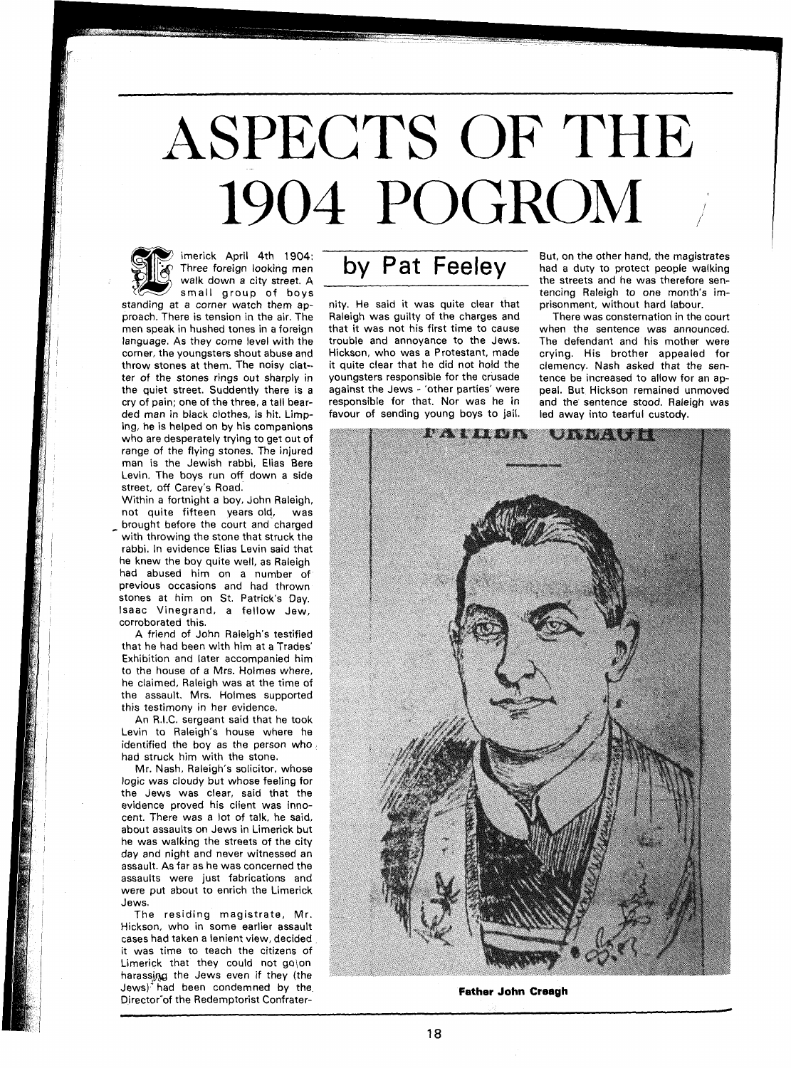# ASPECTS OF THE 1904 POGROM



imerick April 4th 1904: Three foreign looking men walk down a city street. A small group of boys

standing at a corner watch them approach. There is tension in the air. The men speak in hushed tones in a foreign language. As they come level with the corner, the youngsters shout abuse and throw stones at them. The noisy clatter of the stones rings out sharply in the quiet street. Suddently there is a cry of pain; one of the three, a tall bearded man in black clothes, is hit. Limping, he is helped on by his companions who are desperately trying to get out of range of the flying stones. The injured man is the Jewish rabbi, Elias Bere Levin. The boys run off down a side street, off Carev's Road.

Within a fortnight a boy, John Raleigh, not quite fifteen years old, was brought before the court and charged with throwing the stone that struck the rabbi. In evidence Elias Levin said that he knew the boy quite well, as Raleigh had abused him on a number of previous occasions and had thrown stones at him on St. Patrick's Day. lsaac Vinegrand, a fellow Jew, corroborated this.

A friend of John Raleigh's testified that he had been with him at a Trades' Exhibition and later accompanied him to the house of a Mrs. Holmes where, he claimed, Raleigh was at the time of the assault. Mrs. Holmes supported this testimony in her evidence.

An R.I.C. sergeant said that he took Levin to Raleigh's house where he identified the boy as the person who. had struck him with the stone.

Mr. Nash, Raleigh's solicitor, whose logic was cloudy but whose feeling for the Jews was clear, said that the evidence proved his client was innocent. There was a lot of talk, he said, about assaults on Jews in Limerick but he was walking the streets of the city day and night and never witnessed an assault. As far as he was concerned the assaults were just fabrications and were put about to enrich the Limerick Jews.

The residing magistrate, Mr. Hickson, who in some earlier assault cases had taken a lenient view, decided it was time to teach the citizens of Limerick that they could not go\on harassing the Jews even if they (the Jews)<sup>-f</sup>had been condemned by the Director"of the Redemptorist Confrater-

## **by** Pat Feeley

nity. He said it was quite clear that Raleigh was guilty of the charges and that it was not his first time to cause trouble and annoyance to the Jews. Hickson, who was a Protestant, made it quite clear that he did not hold the youngsters responsible for the crusade against the Jews - 'other parties' were responsible for that. Nor was he in favour of sending young boys to jail.

But, on the other hand, the magistrates had a duty to protect people walking the streets and he was therefore sentencing Raleigh to one month's imprisonment, without hard labour.

There was consternation in the court when the sentence was announced. The defendant and his mother were crying. His brother appealed for clemency. Nash asked that the sentence be increased to allow for an appeal. But Hickson remained unmoved and the sentence stood. Raleigh was led away into tearful custody.



**Father John Creagh**